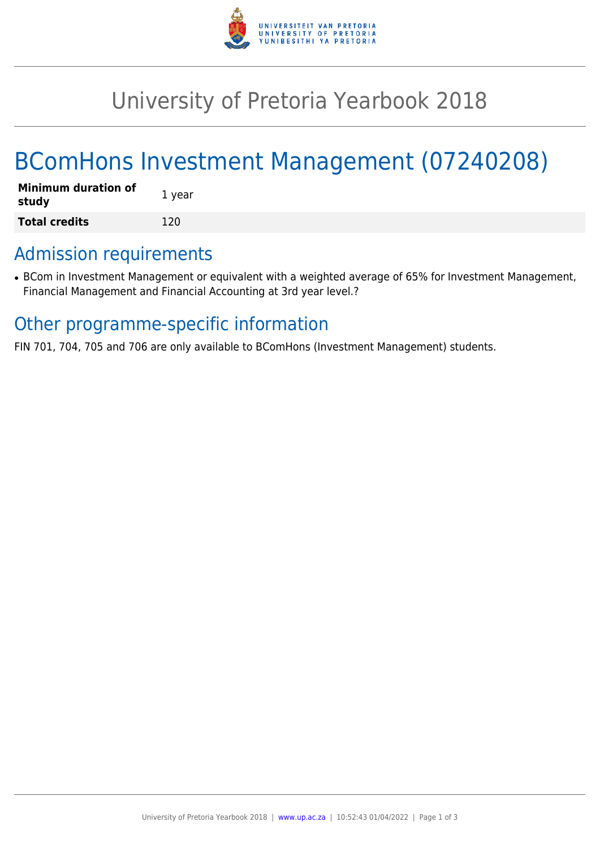

# University of Pretoria Yearbook 2018

# BComHons Investment Management (07240208)

| <b>Minimum duration of</b><br>study | 1 year |
|-------------------------------------|--------|
| <b>Total credits</b>                | 120    |

## Admission requirements

• BCom in Investment Management or equivalent with a weighted average of 65% for Investment Management, Financial Management and Financial Accounting at 3rd year level.?

## Other programme-specific information

FIN 701, 704, 705 and 706 are only available to BComHons (Investment Management) students.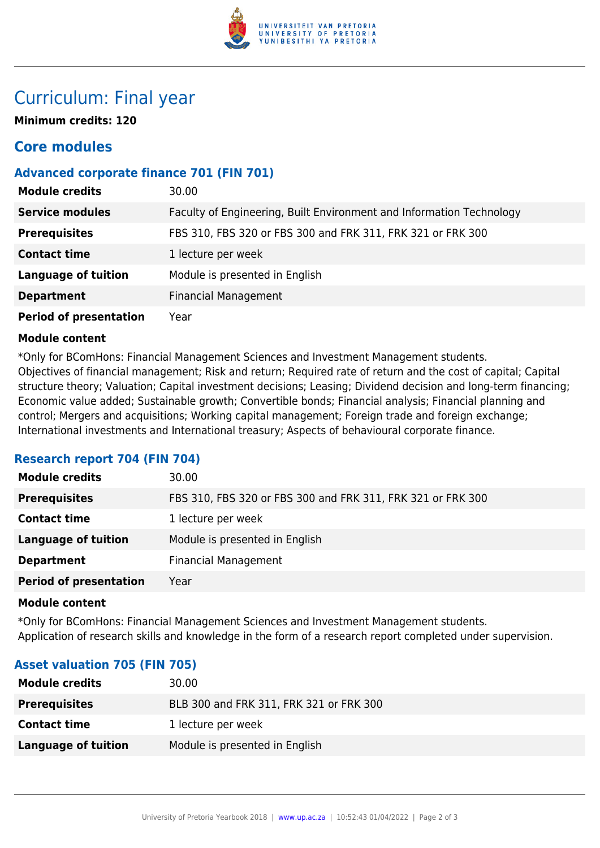

# Curriculum: Final year

**Minimum credits: 120**

## **Core modules**

## **Advanced corporate finance 701 (FIN 701)**

| <b>Module credits</b>         | 30.00                                                                |
|-------------------------------|----------------------------------------------------------------------|
| <b>Service modules</b>        | Faculty of Engineering, Built Environment and Information Technology |
| <b>Prerequisites</b>          | FBS 310, FBS 320 or FBS 300 and FRK 311, FRK 321 or FRK 300          |
| <b>Contact time</b>           | 1 lecture per week                                                   |
| <b>Language of tuition</b>    | Module is presented in English                                       |
| <b>Department</b>             | <b>Financial Management</b>                                          |
| <b>Period of presentation</b> | Year                                                                 |

#### **Module content**

\*Only for BComHons: Financial Management Sciences and Investment Management students. Objectives of financial management; Risk and return; Required rate of return and the cost of capital; Capital structure theory; Valuation; Capital investment decisions; Leasing; Dividend decision and long-term financing; Economic value added; Sustainable growth; Convertible bonds; Financial analysis; Financial planning and control; Mergers and acquisitions; Working capital management; Foreign trade and foreign exchange; International investments and International treasury; Aspects of behavioural corporate finance.

#### **Research report 704 (FIN 704)**

| <b>Module credits</b>         | 30.00                                                       |
|-------------------------------|-------------------------------------------------------------|
| <b>Prerequisites</b>          | FBS 310, FBS 320 or FBS 300 and FRK 311, FRK 321 or FRK 300 |
| <b>Contact time</b>           | 1 lecture per week                                          |
| <b>Language of tuition</b>    | Module is presented in English                              |
| <b>Department</b>             | <b>Financial Management</b>                                 |
| <b>Period of presentation</b> | Year                                                        |

#### **Module content**

\*Only for BComHons: Financial Management Sciences and Investment Management students. Application of research skills and knowledge in the form of a research report completed under supervision.

### **Asset valuation 705 (FIN 705)**

| <b>Module credits</b> | 30.00                                   |
|-----------------------|-----------------------------------------|
| <b>Prerequisites</b>  | BLB 300 and FRK 311, FRK 321 or FRK 300 |
| <b>Contact time</b>   | 1 lecture per week                      |
| Language of tuition   | Module is presented in English          |